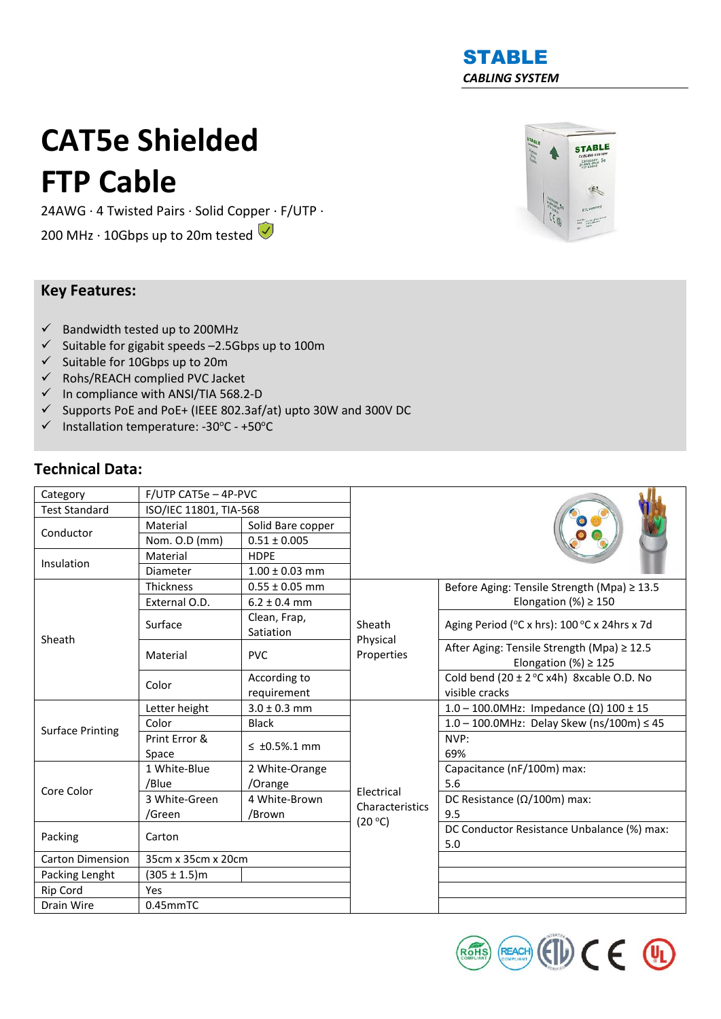## STABLE *CABLING SYSTEM*

# **CAT5e Shielded FTP Cable**

24AWG · 4 Twisted Pairs · Solid Copper · F/UTP ·

200 MHz  $\cdot$  10Gbps up to 20m tested  $\bigcirc$ 

### **Key Features:**

- $\checkmark$  Bandwidth tested up to 200MHz
- $\checkmark$  Suitable for gigabit speeds -2.5Gbps up to 100m
- ✓ Suitable for 10Gbps up to 20m
- ✓ Rohs/REACH complied PVC Jacket
- $\checkmark$  In compliance with ANSI/TIA 568.2-D
- ✓ Supports PoE and PoE+ (IEEE 802.3af/at) upto 30W and 300V DC
- ✓ Installation temperature: -30<sup>o</sup>C +50<sup>o</sup>C

### **Technical Data:**

| Category                | F/UTP CAT5e - 4P-PVC |                           |                        |                                                                         |  |  |
|-------------------------|----------------------|---------------------------|------------------------|-------------------------------------------------------------------------|--|--|
| <b>Test Standard</b>    |                      | ISO/IEC 11801, TIA-568    |                        |                                                                         |  |  |
| Conductor               | Material             | Solid Bare copper         |                        |                                                                         |  |  |
|                         | Nom. O.D (mm)        | $0.51 \pm 0.005$          |                        |                                                                         |  |  |
| Insulation              | Material             | <b>HDPE</b>               |                        |                                                                         |  |  |
|                         | Diameter             | $1.00 \pm 0.03$ mm        |                        |                                                                         |  |  |
| Sheath                  | <b>Thickness</b>     | $0.55 \pm 0.05$ mm        |                        | Before Aging: Tensile Strength (Mpa) ≥ 13.5                             |  |  |
|                         | External O.D.        | $6.2 \pm 0.4$ mm          |                        | Elongation (%) $\geq$ 150                                               |  |  |
|                         | Surface              | Clean, Frap,<br>Satiation | Sheath                 | Aging Period (°C x hrs): 100 °C x 24hrs x 7d                            |  |  |
|                         | Material             | <b>PVC</b>                | Physical<br>Properties | After Aging: Tensile Strength (Mpa) ≥ 12.5<br>Elongation (%) $\geq$ 125 |  |  |
|                         | Color                | According to              |                        | Cold bend $(20 \pm 2^{\circ}C x4h)$ 8xcable O.D. No                     |  |  |
|                         |                      | requirement               |                        | visible cracks                                                          |  |  |
| <b>Surface Printing</b> | Letter height        | $3.0 \pm 0.3$ mm          |                        | 1.0 - 100.0MHz: Impedance (Ω) 100 ± 15                                  |  |  |
|                         | Color                | <b>Black</b>              |                        | $1.0 - 100.0$ MHz: Delay Skew (ns/100m) $\leq 45$                       |  |  |
|                         | Print Error &        | $\leq$ ±0.5%.1 mm         |                        | NVP:                                                                    |  |  |
|                         | Space                |                           |                        | 69%                                                                     |  |  |
| Core Color              | 1 White-Blue         | 2 White-Orange            |                        | Capacitance (nF/100m) max:                                              |  |  |
|                         | /Blue                | /Orange                   | Electrical             | 5.6                                                                     |  |  |
|                         | 3 White-Green        | 4 White-Brown             | Characteristics        | DC Resistance ( $\Omega/100$ m) max:                                    |  |  |
|                         | /Green               | /Brown                    | (20 °C)                | 9.5                                                                     |  |  |
| Packing                 | Carton               |                           |                        | DC Conductor Resistance Unbalance (%) max:<br>5.0                       |  |  |
| <b>Carton Dimension</b> | 35cm x 35cm x 20cm   |                           |                        |                                                                         |  |  |
| Packing Lenght          | $(305 \pm 1.5)$ m    |                           |                        |                                                                         |  |  |
| Rip Cord                | Yes                  |                           |                        |                                                                         |  |  |
| Drain Wire              | 0.45mmTC             |                           |                        |                                                                         |  |  |



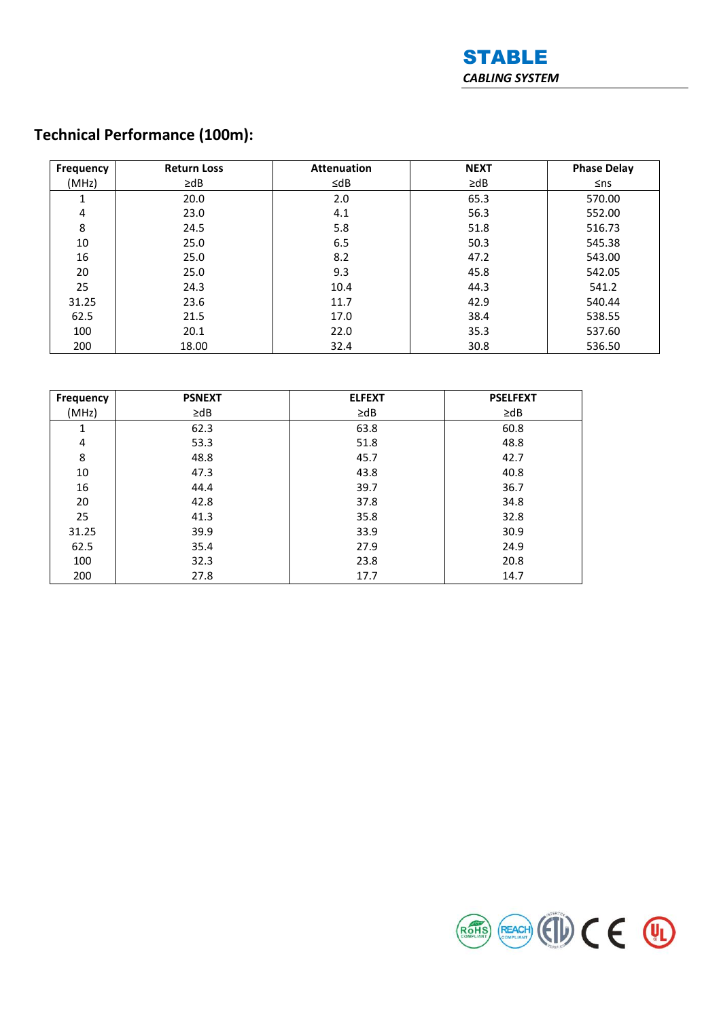

# **Technical Performance (100m):**

| <b>Frequency</b> | <b>Return Loss</b> | <b>Attenuation</b> | <b>NEXT</b> | <b>Phase Delay</b> |
|------------------|--------------------|--------------------|-------------|--------------------|
| (MHz)            | $\geq$ dB          | $\leq$ dB          | $\geq$ dB   | $\leq$ ns          |
| 1                | 20.0               | 2.0                | 65.3        | 570.00             |
| 4                | 23.0               | 4.1                | 56.3        | 552.00             |
| 8                | 24.5               | 5.8                | 51.8        | 516.73             |
| 10               | 25.0               | 6.5                | 50.3        | 545.38             |
| 16               | 25.0               | 8.2                | 47.2        | 543.00             |
| 20               | 25.0               | 9.3                | 45.8        | 542.05             |
| 25               | 24.3               | 10.4               | 44.3        | 541.2              |
| 31.25            | 23.6               | 11.7               | 42.9        | 540.44             |
| 62.5             | 21.5               | 17.0               | 38.4        | 538.55             |
| 100              | 20.1               | 22.0               | 35.3        | 537.60             |
| 200              | 18.00              | 32.4               | 30.8        | 536.50             |

| Frequency | <b>PSNEXT</b> | <b>ELFEXT</b> | <b>PSELFEXT</b> |
|-----------|---------------|---------------|-----------------|
| (MHz)     | $\geq$ dB     | $\geq$ dB     | $\geq$ dB       |
| 1         | 62.3          | 63.8          | 60.8            |
| 4         | 53.3          | 51.8          | 48.8            |
| 8         | 48.8          | 45.7          | 42.7            |
| 10        | 47.3          | 43.8          | 40.8            |
| 16        | 44.4          | 39.7          | 36.7            |
| 20        | 42.8          | 37.8          | 34.8            |
| 25        | 41.3          | 35.8          | 32.8            |
| 31.25     | 39.9          | 33.9          | 30.9            |
| 62.5      | 35.4          | 27.9          | 24.9            |
| 100       | 32.3          | 23.8          | 20.8            |
| 200       | 27.8          | 17.7          | 14.7            |